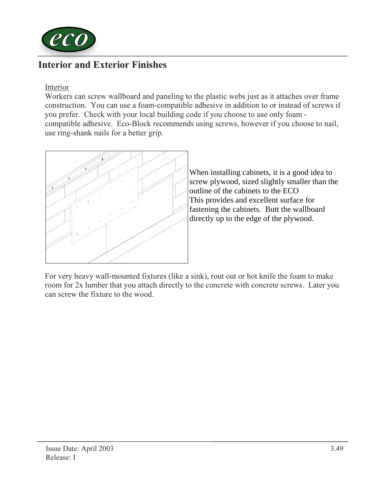

# Interior and Exterior Finishes

Interior

Workers can screw wallboard and paneling to the plastic webs just as it attaches over frame construction. You can use a foam-compatible adhesive in addition to or instead of screws if you prefer. Check with your local building code if you choose to use only foam compatible adhesive. Eco-Block recommends using screws, however if you choose to nail, use ring-shank nails for a better grip.



When installing cabinets, it is a good idea to screw plywood, sized slightly smaller than the outline of the cabinets to the ECO This provides and excellent surface for fastening the cabinets. Butt the wallboard directly up to the edge of the plywood.

For very heavy wall-mounted fixtures (like a sink), rout out or hot knife the foam to make room for 2x lumber that you attach directly to the concrete with concrete screws. Later you can screw the fixture to the wood.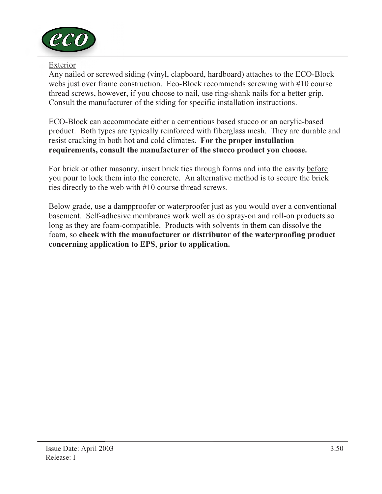

#### Exterior

Any nailed or screwed siding (vinyl, clapboard, hardboard) attaches to the ECO-Block webs just over frame construction. Eco-Block recommends screwing with #10 course thread screws, however, if you choose to nail, use ring-shank nails for a better grip. Consult the manufacturer of the siding for specific installation instructions.

ECO-Block can accommodate either a cementious based stucco or an acrylic-based product. Both types are typically reinforced with fiberglass mesh. They are durable and resist cracking in both hot and cold climates. For the proper installation requirements, consult the manufacturer of the stucco product you choose.

For brick or other masonry, insert brick ties through forms and into the cavity before you pour to lock them into the concrete. An alternative method is to secure the brick ties directly to the web with #10 course thread screws.

Below grade, use a dampproofer or waterproofer just as you would over a conventional basement. Self-adhesive membranes work well as do spray-on and roll-on products so long as they are foam-compatible. Products with solvents in them can dissolve the foam, so check with the manufacturer or distributor of the waterproofing product concerning application to EPS, prior to application.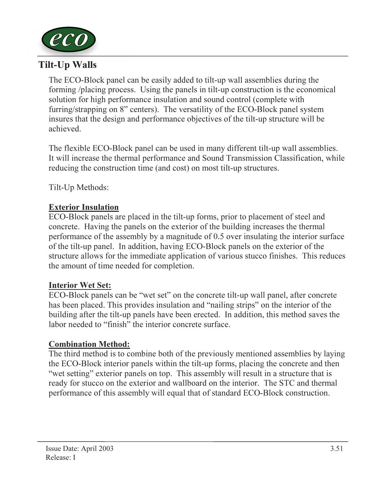

## Tilt-Up Walls

The ECO-Block panel can be easily added to tilt-up wall assemblies during the forming /placing process. Using the panels in tilt-up construction is the economical solution for high performance insulation and sound control (complete with furring/strapping on 8" centers). The versatility of the ECO-Block panel system insures that the design and performance objectives of the tilt-up structure will be achieved.

The flexible ECO-Block panel can be used in many different tilt-up wall assemblies. It will increase the thermal performance and Sound Transmission Classification, while reducing the construction time (and cost) on most tilt-up structures.

Tilt-Up Methods:

## Exterior Insulation

ECO-Block panels are placed in the tilt-up forms, prior to placement of steel and concrete. Having the panels on the exterior of the building increases the thermal performance of the assembly by a magnitude of 0.5 over insulating the interior surface of the tilt-up panel. In addition, having ECO-Block panels on the exterior of the structure allows for the immediate application of various stucco finishes. This reduces the amount of time needed for completion.

## Interior Wet Set:

ECO-Block panels can be "wet set" on the concrete tilt-up wall panel, after concrete has been placed. This provides insulation and "nailing strips" on the interior of the building after the tilt-up panels have been erected. In addition, this method saves the labor needed to "finish" the interior concrete surface.

#### Combination Method:

The third method is to combine both of the previously mentioned assemblies by laying the ECO-Block interior panels within the tilt-up forms, placing the concrete and then "wet setting" exterior panels on top. This assembly will result in a structure that is ready for stucco on the exterior and wallboard on the interior. The STC and thermal performance of this assembly will equal that of standard ECO-Block construction.